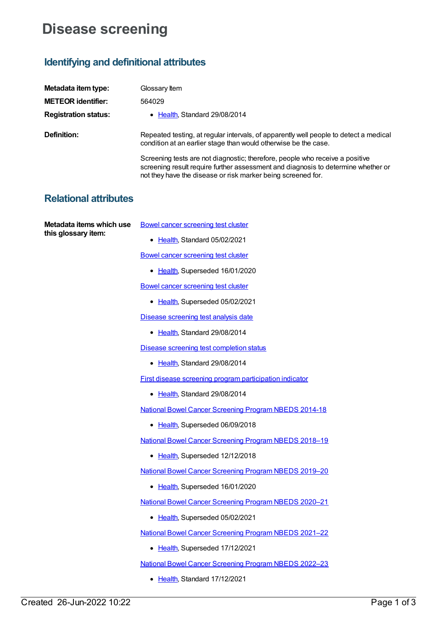## **Disease screening**

## **Identifying and definitional attributes**

| Metadata item type:                             | Glossary Item                                                                                                                                                                                                                     |
|-------------------------------------------------|-----------------------------------------------------------------------------------------------------------------------------------------------------------------------------------------------------------------------------------|
| <b>METEOR</b> identifier:                       | 564029                                                                                                                                                                                                                            |
| <b>Registration status:</b>                     | • Health, Standard 29/08/2014                                                                                                                                                                                                     |
| Definition:                                     | Repeated testing, at regular intervals, of apparently well people to detect a medical<br>condition at an earlier stage than would otherwise be the case.                                                                          |
|                                                 | Screening tests are not diagnostic; therefore, people who receive a positive<br>screening result require further assessment and diagnosis to determine whether or<br>not they have the disease or risk marker being screened for. |
| <b>Relational attributes</b>                    |                                                                                                                                                                                                                                   |
| Metadata items which use<br>this glossary item: | <b>Bowel cancer screening test cluster</b>                                                                                                                                                                                        |
|                                                 | • Health, Standard 05/02/2021                                                                                                                                                                                                     |
|                                                 | <b>Bowel cancer screening test cluster</b>                                                                                                                                                                                        |
|                                                 | • Health, Superseded 16/01/2020                                                                                                                                                                                                   |
|                                                 | <b>Bowel cancer screening test cluster</b>                                                                                                                                                                                        |
|                                                 | • Health, Superseded 05/02/2021                                                                                                                                                                                                   |
|                                                 | Disease screening test analysis date                                                                                                                                                                                              |
|                                                 | • Health, Standard 29/08/2014                                                                                                                                                                                                     |
|                                                 | Disease screening test completion status                                                                                                                                                                                          |
|                                                 | • Health, Standard 29/08/2014                                                                                                                                                                                                     |
|                                                 | First disease screening program participation indicator                                                                                                                                                                           |
|                                                 | Health, Standard 29/08/2014                                                                                                                                                                                                       |
|                                                 | <b>National Bowel Cancer Screening Program NBEDS 2014-18</b>                                                                                                                                                                      |
|                                                 | • Health, Superseded 06/09/2018                                                                                                                                                                                                   |
|                                                 | <b>National Bowel Cancer Screening Program NBEDS 2018-19</b>                                                                                                                                                                      |
|                                                 | • Health, Superseded 12/12/2018                                                                                                                                                                                                   |
|                                                 | <b>National Bowel Cancer Screening Program NBEDS 2019-20</b>                                                                                                                                                                      |
|                                                 | • Health, Superseded 16/01/2020                                                                                                                                                                                                   |
|                                                 | <b>National Bowel Cancer Screening Program NBEDS 2020-21</b>                                                                                                                                                                      |
|                                                 | • Health, Superseded 05/02/2021                                                                                                                                                                                                   |
|                                                 | <b>National Bowel Cancer Screening Program NBEDS 2021-22</b>                                                                                                                                                                      |
|                                                 | • Health, Superseded 17/12/2021                                                                                                                                                                                                   |
|                                                 | <b>National Bowel Cancer Screening Program NBEDS 2022-23</b>                                                                                                                                                                      |

• [Health](https://meteor.aihw.gov.au/RegistrationAuthority/12), Standard 17/12/2021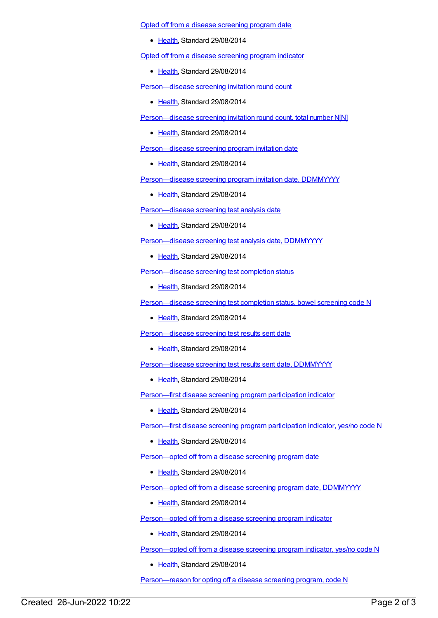Opted off from a disease [screening](https://meteor.aihw.gov.au/content/576714) program date

• [Health](https://meteor.aihw.gov.au/RegistrationAuthority/12), Standard 29/08/2014

Opted off from a disease [screening](https://meteor.aihw.gov.au/content/568061) program indicator

• [Health](https://meteor.aihw.gov.au/RegistrationAuthority/12), Standard 29/08/2014

[Person—disease](https://meteor.aihw.gov.au/content/530043) screening invitation round count

• [Health](https://meteor.aihw.gov.au/RegistrationAuthority/12), Standard 29/08/2014

[Person—disease](https://meteor.aihw.gov.au/content/568644) screening invitation round count, total number N[N]

• [Health](https://meteor.aihw.gov.au/RegistrationAuthority/12), Standard 29/08/2014

[Person—disease](https://meteor.aihw.gov.au/content/530057) screening program invitation date

• [Health](https://meteor.aihw.gov.au/RegistrationAuthority/12), Standard 29/08/2014

[Person—disease](https://meteor.aihw.gov.au/content/530061) screening program invitation date, DDMMYYYY

• [Health](https://meteor.aihw.gov.au/RegistrationAuthority/12), Standard 29/08/2014

Person-disease screening test analysis date

• [Health](https://meteor.aihw.gov.au/RegistrationAuthority/12), Standard 29/08/2014

[Person—disease](https://meteor.aihw.gov.au/content/568129) screening test analysis date, DDMMYYYY

• [Health](https://meteor.aihw.gov.au/RegistrationAuthority/12), Standard 29/08/2014

[Person—disease](https://meteor.aihw.gov.au/content/529898) screening test completion status

• [Health](https://meteor.aihw.gov.au/RegistrationAuthority/12), Standard 29/08/2014

[Person—disease](https://meteor.aihw.gov.au/content/529906) screening test completion status, bowel screening code N

• [Health](https://meteor.aihw.gov.au/RegistrationAuthority/12), Standard 29/08/2014

Person-disease screening test results sent date

• [Health](https://meteor.aihw.gov.au/RegistrationAuthority/12), Standard 29/08/2014

Person-disease screening test results sent date, DDMMYYYY

• [Health](https://meteor.aihw.gov.au/RegistrationAuthority/12), Standard 29/08/2014

[Person—first](https://meteor.aihw.gov.au/content/563626) disease screening program participation indicator

• [Health](https://meteor.aihw.gov.au/RegistrationAuthority/12), Standard 29/08/2014

[Person—first](https://meteor.aihw.gov.au/content/530590) disease screening program participation indicator, yes/no code N

• [Health](https://meteor.aihw.gov.au/RegistrationAuthority/12), Standard 29/08/2014

[Person—opted](https://meteor.aihw.gov.au/content/576717) off from a disease screening program date

● [Health](https://meteor.aihw.gov.au/RegistrationAuthority/12), Standard 29/08/2014

[Person—opted](https://meteor.aihw.gov.au/content/576720) off from a disease screening program date, DDMMYYYY

• [Health](https://meteor.aihw.gov.au/RegistrationAuthority/12), Standard 29/08/2014

[Person—opted](https://meteor.aihw.gov.au/content/568066) off from a disease screening program indicator

• [Health](https://meteor.aihw.gov.au/RegistrationAuthority/12), Standard 29/08/2014

[Person—opted](https://meteor.aihw.gov.au/content/568070) off from a disease screening program indicator, yes/no code N

[Health](https://meteor.aihw.gov.au/RegistrationAuthority/12), Standard 29/08/2014

[Person—reason](https://meteor.aihw.gov.au/content/732523) for opting off a disease screening program, code N